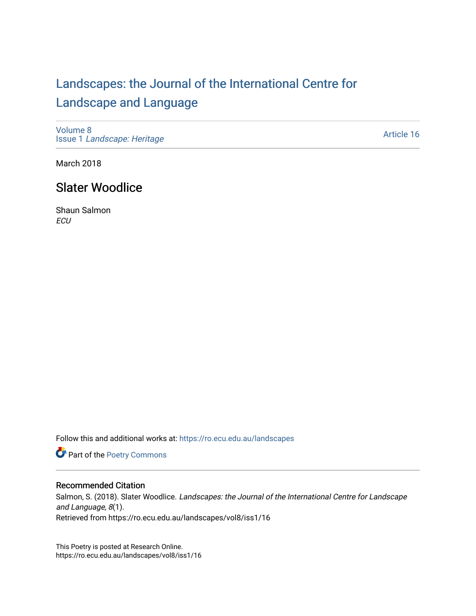## [Landscapes: the Journal of the International Centre for](https://ro.ecu.edu.au/landscapes) [Landscape and Language](https://ro.ecu.edu.au/landscapes)

[Volume 8](https://ro.ecu.edu.au/landscapes/vol8) Issue 1 [Landscape: Heritage](https://ro.ecu.edu.au/landscapes/vol8/iss1)

[Article 16](https://ro.ecu.edu.au/landscapes/vol8/iss1/16) 

March 2018

## Slater Woodlice

Shaun Salmon **ECU** 

Follow this and additional works at: [https://ro.ecu.edu.au/landscapes](https://ro.ecu.edu.au/landscapes?utm_source=ro.ecu.edu.au%2Flandscapes%2Fvol8%2Fiss1%2F16&utm_medium=PDF&utm_campaign=PDFCoverPages) 

Part of the [Poetry Commons](http://network.bepress.com/hgg/discipline/1153?utm_source=ro.ecu.edu.au%2Flandscapes%2Fvol8%2Fiss1%2F16&utm_medium=PDF&utm_campaign=PDFCoverPages) 

## Recommended Citation

Salmon, S. (2018). Slater Woodlice. Landscapes: the Journal of the International Centre for Landscape and Language, 8(1). Retrieved from https://ro.ecu.edu.au/landscapes/vol8/iss1/16

This Poetry is posted at Research Online. https://ro.ecu.edu.au/landscapes/vol8/iss1/16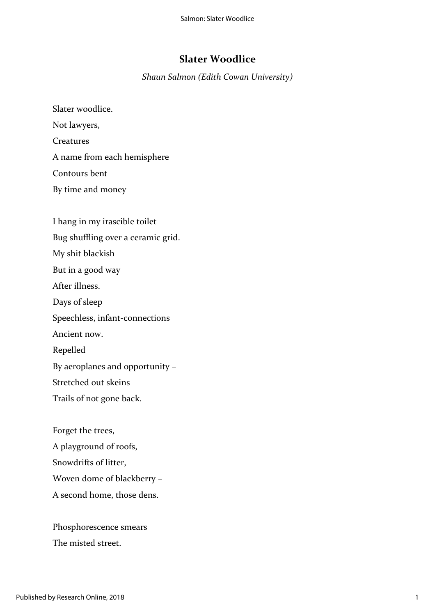## **Slater Woodlice**

*Shaun Salmon (Edith Cowan University)*

Slater woodlice. Not lawyers, Creatures A name from each hemisphere Contours bent By time and money

I hang in my irascible toilet Bug shuffling over a ceramic grid. My shit blackish But in a good way After illness. Days of sleep Speechless, infant-connections Ancient now. Repelled By aeroplanes and opportunity – Stretched out skeins Trails of not gone back.

Forget the trees, A playground of roofs, Snowdrifts of litter, Woven dome of blackberry – A second home, those dens.

Phosphorescence smears The misted street.